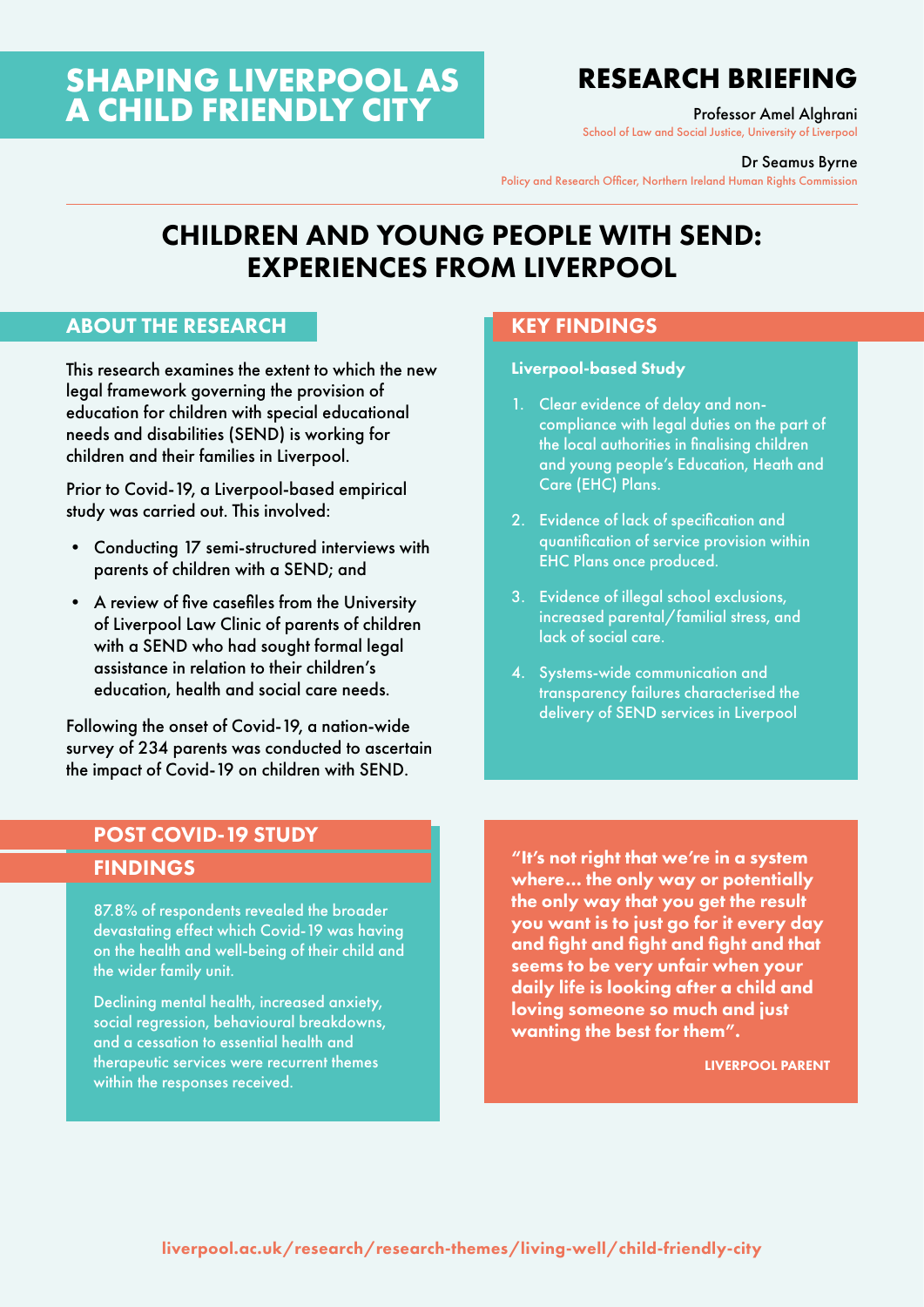# **SHAPING LIVERPOOL AS A CHILD FRIENDLY CITY**

# **RESEARCH BRIEFING**

Professor Amel Alghrani

School of Law and Social Justice, University of Liverpool

#### Dr Seamus Byrne

Policy and Research Officer, Northern Ireland Human Rights Commission

# CHILDREN AND YOUNG PEOPLE WITH SEND: EXPERIENCES FROM LIVERPOOL

### ABOUT THE RESEARCH

This research examines the extent to which the new legal framework governing the provision of education for children with special educational needs and disabilities (SEND) is working for children and their families in Liverpool.

Prior to Covid-19, a Liverpool-based empirical study was carried out. This involved:

- Conducting 17 semi-structured interviews with parents of children with a SEND; and
- A review of five casefiles from the University of Liverpool Law Clinic of parents of children with a SEND who had sought formal legal assistance in relation to their children's education, health and social care needs.

Following the onset of Covid-19, a nation-wide survey of 234 parents was conducted to ascertain the impact of Covid-19 on children with SEND.

## KEY FINDINGS

#### Liverpool-based Study

- 1. Clear evidence of delay and noncompliance with legal duties on the part of the local authorities in finalising children and young people's Education, Heath and Care (EHC) Plans.
- 2. Evidence of lack of specification and quantification of service provision within EHC Plans once produced.
- 3. Evidence of illegal school exclusions, increased parental/familial stress, and lack of social care.
- 4. Systems-wide communication and transparency failures characterised the delivery of SEND services in Liverpool

## POST COVID-19 STUDY FINDINGS

87.8% of respondents revealed the broader devastating effect which Covid-19 was having on the health and well-being of their child and the wider family unit.

Declining mental health, increased anxiety, social regression, behavioural breakdowns, and a cessation to essential health and therapeutic services were recurrent themes within the responses received.

"It's not right that we're in a system where… the only way or potentially the only way that you get the result you want is to just go for it every day and fight and fight and fight and that seems to be very unfair when your daily life is looking after a child and loving someone so much and just wanting the best for them".

LIVERPOOL PARENT